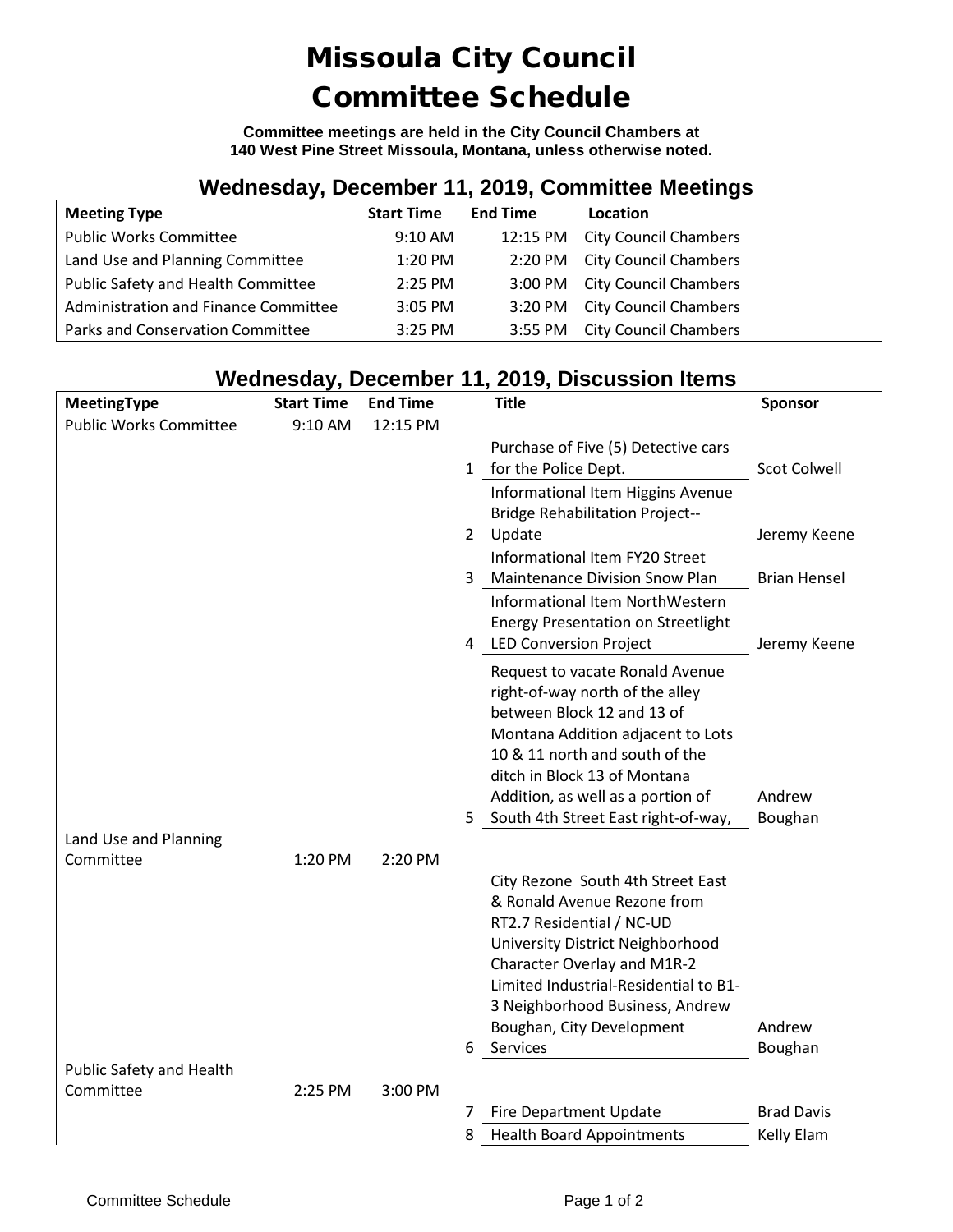## Missoula City Council Committee Schedule

**Committee meetings are held in the City Council Chambers at 140 West Pine Street Missoula, Montana, unless otherwise noted.**

### **Wednesday, December 11, 2019, Committee Meetings**

| <b>Meeting Type</b>                  | <b>Start Time</b> | <b>End Time</b> | Location                       |
|--------------------------------------|-------------------|-----------------|--------------------------------|
| <b>Public Works Committee</b>        | $9:10 \text{ AM}$ |                 | 12:15 PM City Council Chambers |
| Land Use and Planning Committee      | $1:20$ PM         |                 | 2:20 PM City Council Chambers  |
| Public Safety and Health Committee   | $2:25$ PM         |                 | 3:00 PM City Council Chambers  |
| Administration and Finance Committee | $3:05$ PM         |                 | 3:20 PM City Council Chambers  |
| Parks and Conservation Committee     | $3:25$ PM         |                 | 3:55 PM City Council Chambers  |

#### **Wednesday, December 11, 2019, Discussion Items**

| MeetingType                   | <b>Start Time</b> | <b>End Time</b> | <b>Title</b>                                                    | Sponsor             |
|-------------------------------|-------------------|-----------------|-----------------------------------------------------------------|---------------------|
| <b>Public Works Committee</b> | 9:10 AM           | 12:15 PM        |                                                                 |                     |
|                               |                   |                 | Purchase of Five (5) Detective cars                             |                     |
|                               |                   |                 | for the Police Dept.<br>$\mathbf{1}$                            | <b>Scot Colwell</b> |
|                               |                   |                 | Informational Item Higgins Avenue                               |                     |
|                               |                   |                 | <b>Bridge Rehabilitation Project--</b>                          |                     |
|                               |                   |                 | Update<br>$\mathbf{2}$                                          | Jeremy Keene        |
|                               |                   |                 | Informational Item FY20 Street                                  |                     |
|                               |                   |                 | <b>Maintenance Division Snow Plan</b><br>3                      | <b>Brian Hensel</b> |
|                               |                   |                 | Informational Item NorthWestern                                 |                     |
|                               |                   |                 | <b>Energy Presentation on Streetlight</b>                       |                     |
|                               |                   |                 | <b>LED Conversion Project</b><br>4                              | Jeremy Keene        |
|                               |                   |                 | Request to vacate Ronald Avenue                                 |                     |
|                               |                   |                 | right-of-way north of the alley                                 |                     |
|                               |                   |                 | between Block 12 and 13 of<br>Montana Addition adjacent to Lots |                     |
|                               |                   |                 | 10 & 11 north and south of the                                  |                     |
|                               |                   |                 | ditch in Block 13 of Montana                                    |                     |
|                               |                   |                 | Addition, as well as a portion of                               | Andrew              |
|                               |                   |                 | South 4th Street East right-of-way,<br>5.                       | Boughan             |
| Land Use and Planning         |                   |                 |                                                                 |                     |
| Committee                     | 1:20 PM           | 2:20 PM         |                                                                 |                     |
|                               |                   |                 | City Rezone South 4th Street East                               |                     |
|                               |                   |                 | & Ronald Avenue Rezone from                                     |                     |
|                               |                   |                 | RT2.7 Residential / NC-UD                                       |                     |
|                               |                   |                 | University District Neighborhood                                |                     |
|                               |                   |                 | Character Overlay and M1R-2                                     |                     |
|                               |                   |                 | Limited Industrial-Residential to B1-                           |                     |
|                               |                   |                 | 3 Neighborhood Business, Andrew                                 | Andrew              |
|                               |                   |                 | Boughan, City Development<br>Services<br>6                      | Boughan             |
| Public Safety and Health      |                   |                 |                                                                 |                     |
| Committee                     | 2:25 PM           | 3:00 PM         |                                                                 |                     |
|                               |                   |                 | <b>Fire Department Update</b><br>7                              | <b>Brad Davis</b>   |
|                               |                   |                 | 8<br><b>Health Board Appointments</b>                           | Kelly Elam          |
|                               |                   |                 |                                                                 |                     |